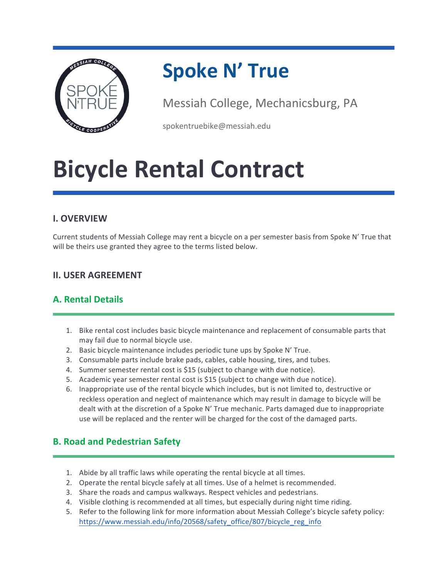

### **Spoke N' True**

Messiah College, Mechanicsburg, PA

spokentruebike@messiah.edu

## **Bicycle Rental Contract**

#### **I. OVERVIEW**

Current students of Messiah College may rent a bicycle on a per semester basis from Spoke N' True that will be theirs use granted they agree to the terms listed below.

#### **II. USER AGREEMENT**

#### **A. Rental Details**

- 1. Bike rental cost includes basic bicycle maintenance and replacement of consumable parts that may fail due to normal bicycle use.
- 2. Basic bicycle maintenance includes periodic tune ups by Spoke N' True.
- 3. Consumable parts include brake pads, cables, cable housing, tires, and tubes.
- 4. Summer semester rental cost is \$15 (subject to change with due notice).
- 5. Academic year semester rental cost is \$15 (subject to change with due notice).
- 6. Inappropriate use of the rental bicycle which includes, but is not limited to, destructive or reckless operation and neglect of maintenance which may result in damage to bicycle will be dealt with at the discretion of a Spoke N' True mechanic. Parts damaged due to inappropriate use will be replaced and the renter will be charged for the cost of the damaged parts.

#### **B. Road and Pedestrian Safety**

- 1. Abide by all traffic laws while operating the rental bicycle at all times.
- 2. Operate the rental bicycle safely at all times. Use of a helmet is recommended.
- 3. Share the roads and campus walkways. Respect vehicles and pedestrians.
- 4. Visible clothing is recommended at all times, but especially during night time riding.
- 5. Refer to the following link for more information about Messiah College's bicycle safety policy: https://www.messiah.edu/info/20568/safety\_office/807/bicycle\_reg\_info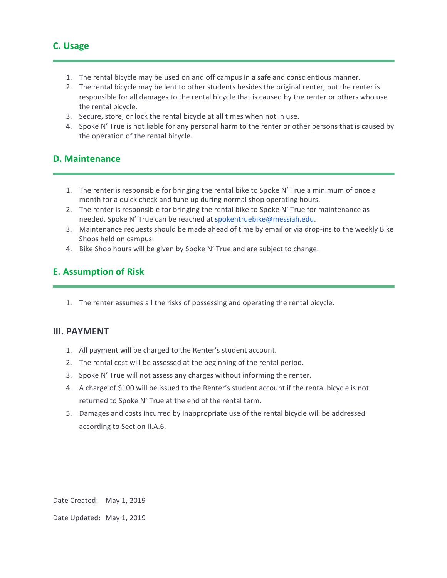- 1. The rental bicycle may be used on and off campus in a safe and conscientious manner.
- 2. The rental bicycle may be lent to other students besides the original renter, but the renter is responsible for all damages to the rental bicycle that is caused by the renter or others who use the rental bicycle.
- 3. Secure, store, or lock the rental bicycle at all times when not in use.
- 4. Spoke N' True is not liable for any personal harm to the renter or other persons that is caused by the operation of the rental bicycle.

#### **D. Maintenance**

- 1. The renter is responsible for bringing the rental bike to Spoke N' True a minimum of once a month for a quick check and tune up during normal shop operating hours.
- 2. The renter is responsible for bringing the rental bike to Spoke N' True for maintenance as needed. Spoke N' True can be reached at spokentruebike@messiah.edu.
- 3. Maintenance requests should be made ahead of time by email or via drop-ins to the weekly Bike Shops held on campus.
- 4. Bike Shop hours will be given by Spoke N' True and are subject to change.

#### **E. Assumption of Risk**

1. The renter assumes all the risks of possessing and operating the rental bicycle.

#### **III. PAYMENT**

- 1. All payment will be charged to the Renter's student account.
- 2. The rental cost will be assessed at the beginning of the rental period.
- 3. Spoke N' True will not assess any charges without informing the renter.
- 4. A charge of \$100 will be issued to the Renter's student account if the rental bicycle is not returned to Spoke N' True at the end of the rental term.
- 5. Damages and costs incurred by inappropriate use of the rental bicycle will be addressed according to Section II.A.6.

Date Created: May 1, 2019

Date Updated: May 1, 2019